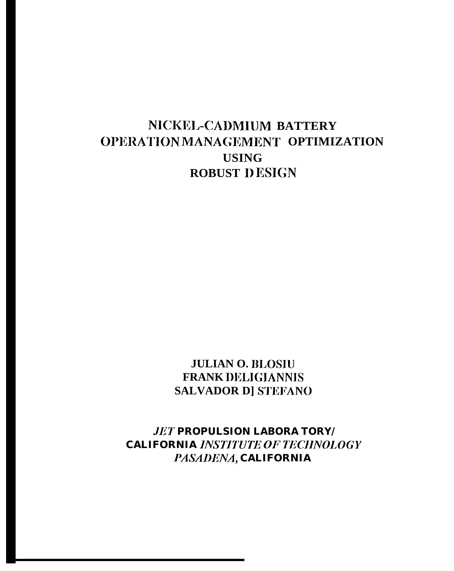# NICKEL-CADMIUM BATTERY OPERATION MANAGEMENT OPTIMIZATION **USING ROBUST DESIGN**

## **JULIAN O. BLOSIU FRANK DELIGIANNIS** SALVADOR DJ STEFANO

**JET PROPULSION LABORA TORY/ CALIFORNIA INSTITUTE OF TECHNOLOGY** PASADENA, CALIFORNIA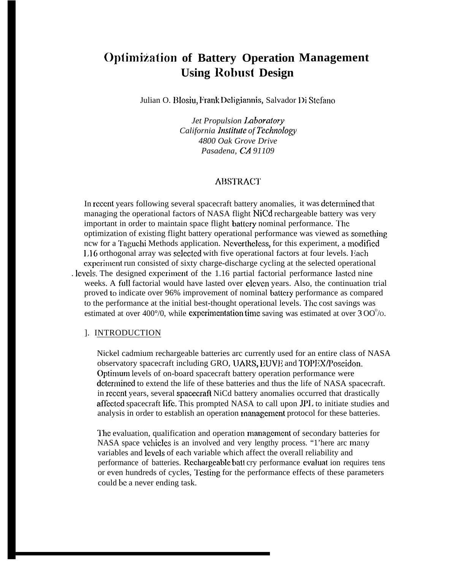# **Optimization of Battery Operation Management Using Robust Design**

Julian O. Blosiu, Frank Deligiannis, Salvador Di Stefano

*Jet Propulsion Laboratory California Institute of Technology 4800 Oak Grove Drive Pasadena, CA 91109*

### **ABSTRACT**

In rcccnt years following several spacecraft battery anomalies, it was dctcrmincd that managing the operational factors of NASA flight NiCd rechargeable battery was very important in order to maintain space flight battery nominal performance. The optimization of existing flight battery operational performance was viewed as scnncthing ncw for a Taguchi Methods application. Nevertheless, for this experiment, a modified 1,16 orthogonal array was sclcctcd with five operational factors at four levels. l;ach cxpcrimcnt run consisted of sixty charge-discharge cycling at the selected operational . levels. The designed experiment of the 1.16 partial factorial performance lasted nine weeks. A full factorial would have lasted over cleven years. Also, the continuation trial proved to indicate over 96% improvement of nominal battery performance as compared to the performance at the initial best-thought operational levels. The cost savings was estimated at over 400 $^{\circ}$ /0, while experimentation time saving was estimated at over 3 OO $^{\circ}$ /0.

### ]. INTRODUCTION

Nickel cadmium rechargeable batteries arc currently used for an entire class of NASA observatory spacecraft including GRO, UARS, EUVE and TOPEX/Poscidon. Optimum levels of on-board spacecraft battery operation performance were determined to extend the life of these batteries and thus the life of NASA spacecraft. in recent years, several spacecraft NiCd battery anomalies occurred that drastically affcctcd spacecraft Iifc. This prompted NASA to call upon JP1. to initiate studies and analysis in order to establish an operation tnanagcmcnt protocol for these batteries.

The evaluation, qualification and operation management of secondary batteries for NASA space vchicles is an involved and very lengthy process. "1'here arc many variables and levels of each variable which affect the overall reliability and performance of batteries. Rechargeable batt cry performance evaluat ion requires tens or even hundreds of cycles, Testing for the performance effects of these parameters could bc a never ending task.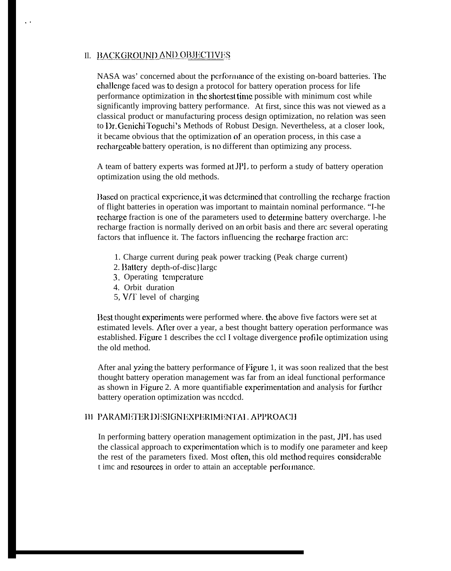### II. <u>BACKGROUND AND OBJECTIVES</u>

,.

NASA was' concerned about the performance of the existing on-board batteries. The challcngc faced was to design a protocol for battery operation process for life performance optimization in the shortest time possible with minimum cost while significantly improving battery performance. At first, since this was not viewed as a classical product or manufacturing process design optimization, no relation was seen to Dr. Genichi Toguchi's Methods of Robust Design. Nevertheless, at a closer look, it became obvious that the optimization of an operation process, in this case a rcchargcablc battery operation, is no different than optimizing any process.

A team of battery experts was formed at JPI. to perform a study of battery operation optimization using the old methods.

13ased on practical experience, it was determined that controlling the recharge fraction of flight batteries in operation was important to maintain nominal performance. "I-he rccharge fraction is one of the parameters used to determine battery overcharge. 1-he recharge fraction is normally derived on an orbit basis and there arc several operating factors that influence it. The factors influencing the rcchargc fraction arc:

- 1. Charge current during peak power tracking (Peak charge current)
- 2. Battery depth-of-disc}largc
- 3. Operating tcmpcraturc
- 4. Orbit duration
- 5, V/T level of charging

Best thought experiments were performed where, the above five factors were set at estimated levels. Aflcr over a year, a best thought battery operation performance was established. Figure 1 describes the ccl I voltage divergence profi lc optimization using the old method.

After anal yzing the battery performance of Figure 1, it was soon realized that the best thought battery operation management was far from an ideal functional performance as shown in Pigurc 2. A more quantifiable cxpcrimcntation and analysis for furlhcr battery operation optimization was nccdcd.

### III PARAMETER DESIGNEXPERIMENTAL APPROACH

In performing battery operation management optimization in the past, JPI. has used the classical approach to cxpcrimcntation which is to modify one parameter and keep the rest of the parameters fixed. Most often, this old method requires considcrab]e t imc and rcsourccs in order to attain an acceptable pcrfor mancc.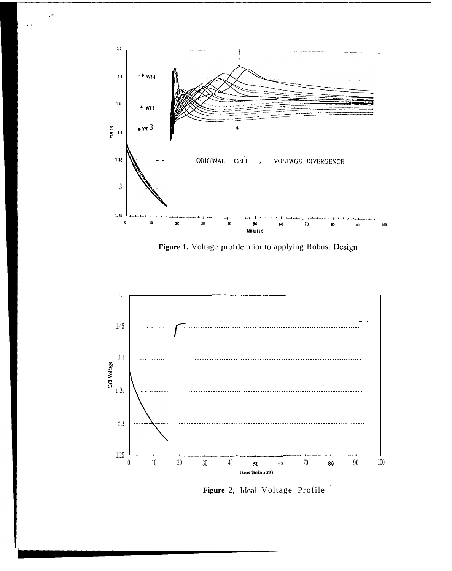

Figure 1. Voltage profile prior to applying Robust Design



Figure 2, Ideal Voltage Profile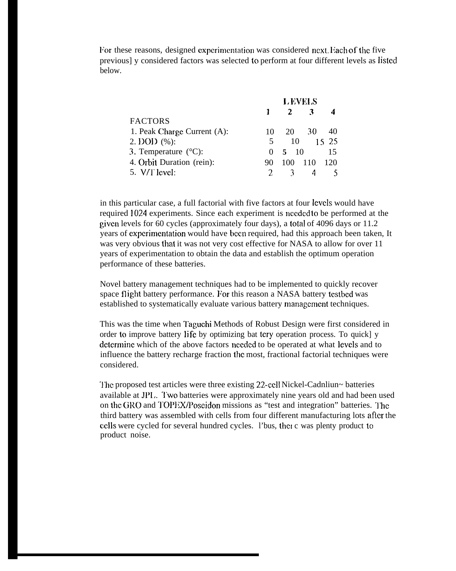For these reasons, designed experimentation was considered next. Each of the five previous] y considered factors was selected to perform at four different levels as listed below.

| L EVELS      |              |     |                    |  |  |  |  |
|--------------|--------------|-----|--------------------|--|--|--|--|
| Ŧ.           | $\mathbf{2}$ | 3   |                    |  |  |  |  |
|              |              |     |                    |  |  |  |  |
| 10           | 20           | 30  | 40                 |  |  |  |  |
| 5.           |              |     | 15 25              |  |  |  |  |
| $\mathbf{0}$ |              |     | 15                 |  |  |  |  |
| 90           | 100          | 110 | 120                |  |  |  |  |
|              |              |     |                    |  |  |  |  |
|              |              |     | 10<br>$5 \quad 10$ |  |  |  |  |

in this particular case, a full factorial with five factors at four levels would have required 1024 experiments. Since each experiment is nccdcd to be performed at the given levels for 60 cycles (approximately four days), a total of 4096 days or 11.2 years of experimentation would have been required, had this approach been taken, It was very obvious that it was not very cost effective for NASA to allow for over 11 years of experimentation to obtain the data and establish the optimum operation performance of these batteries.

Novel battery management techniques had to be implemented to quickly recover space flight battery performance. For this reason a NASA battery testbed was established to systematically evaluate various battery management techniques.

This was the time when Taguchi Methods of Robust Design were first considered in order to improve battery li fc by optimizing bat tcry operation process. To quick] y determine which of the above factors needed to be operated at what levels and to influence the battery recharge fraction the most, fractional factorial techniques were considered.

The proposed test articles were three existing 22-cell Nickel-Cadnliun~ batteries available at JPL. Two batteries were approximately nine years old and had been used on the GRO and TOPEX/Poseidon missions as "test and integration" batteries. The third battery was assembled with cells from four different manufacturing lots aflcr the cells were cycled for several hundred cycles. l'bus, thct c was plenty product to product noise.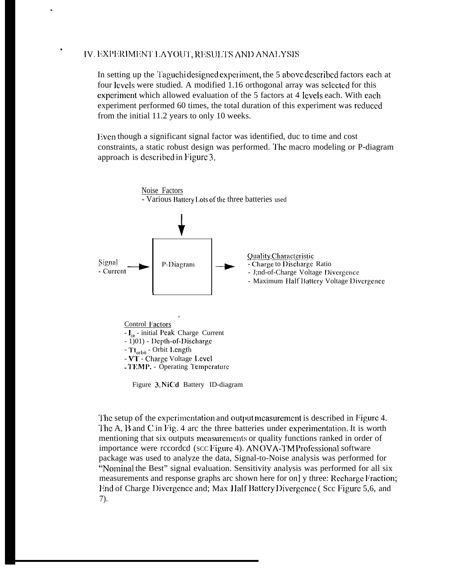### IV. EXPERIMENT LAYOUT, RESULTS AND ANALYSIS

In setting up the Taguchi designed experiment, the 5 above described factors each at four levels were studied. A modified 1.16 orthogonal array was selected for this experiment which allowed evaluation of the 5 factors at 4 levels each. With each experiment performed 60 times, the total duration of this experiment was reduced from the initial 11.2 years to only 10 weeks.

Even though a significant signal factor was identified, duc to time and cost constraints, a static robust design was performed. The macro modeling or P-diagram approach is described in Figure 3.



Figure 3. NiCd Battery ID-diagram

The setup of the experimentation and output measurement is described in Figure 4. The A, B and C in Fig. 4 arc the three batteries under experimentation. It is worth mentioning that six outputs measurements or quality functions ranked in order of importance were recorded (scc Figure 4). ANOVA-TM Professional software package was used to analyze the data, Signal-to-Noise analysis was performed for "Nominal the Best" signal evaluation. Sensitivity analysis was performed for all six measurements and response graphs arc shown here for on] y three: Recharge Fraction; End of Charge Divergence and; Max Half Battery Divergence (Scc Figure 5,6, and  $(7)$ .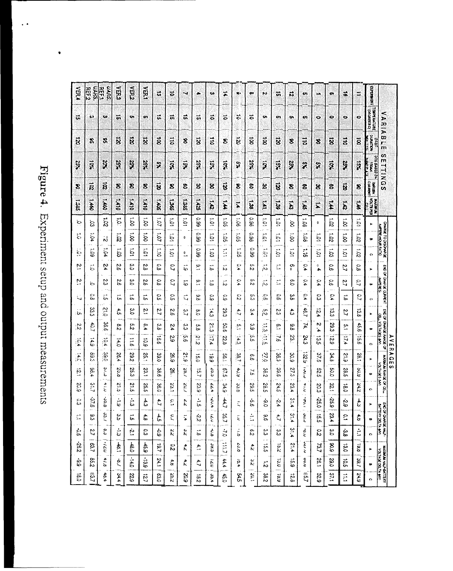# Figure 4. Experiment setup and output measurements

 $\overline{\phantom{a}}$ 

 $\ddot{\phantom{0}}$ 

| VER.                                  | <b>UARS</b><br>REF2     | <b>UARS,</b><br>刮                    | KER2                | $\tilde{E}$        | ya,            | ದ                      | õ                     | - 1                      | ٠                    | $\bullet$        | ≭                  | w.                               | $\bullet$          | $\ddot{}$                      | ö                          | 13                     | m             | $\sim$                | .co            | ä,             | $\ddot{ }$                      | EXEMBER                           |                                                                   |  |
|---------------------------------------|-------------------------|--------------------------------------|---------------------|--------------------|----------------|------------------------|-----------------------|--------------------------|----------------------|------------------|--------------------|----------------------------------|--------------------|--------------------------------|----------------------------|------------------------|---------------|-----------------------|----------------|----------------|---------------------------------|-----------------------------------|-------------------------------------------------------------------|--|
| û.                                    | œ                       | Ķ0                                   | in.                 | Q.                 | 4H             | ö,                     | $\ddot{\bm{v}}$       | ü                        | tri,                 | $\ddot{\circ}$   | õ                  | $\tilde{\mathbf{c}}$             | $\ddot{\bullet}$   | $\mathbf{O}$                   | $\bullet$                  | o.                     | o,            | ۰                     | ۵              | ۰              | $\bullet$                       | TARRATAL                          | <b>VARIABLE</b>                                                   |  |
| ä                                     | F,                      | Ŧ,                                   | $\ddot{\mathbf{z}}$ | ë                  | $\ddot{\rm z}$ | $\ddot{\mathbf{g}}$    | dii                   | 8                        | ë                    | $\ddot{a}$       | \$                 | $\tilde{\mathbf{g}}$             | $\ddot{\vec{8}}$   | ã                              | $\ddot{\ddot{\mathrm{z}}}$ | 8                      | 3.iq          | 8                     | ä              | ä              | ä                               | <b>BARKING</b>                    |                                                                   |  |
| 757                                   | ą                       | R                                    | XSX                 | ă                  | X              | o,                     | Ŗ                     | Į                        | š                    | য়ূ              | 7.Q                | $\frac{3}{2}$                    | XSZ                | Ş                              | $\frac{3}{2}$              | 25%                    | ×             | ş                     | Į              | XC2            | Ķ                               | C1978 00<br><b>NAMES</b><br>KNOCH | $\boldsymbol{\omega}$<br><b>ETTINGS</b>                           |  |
| 8                                     | ឆ្ល                     | $\vec{a}$                            | 3                   | Š                  | 8              | $\vec{p}$              | 8                     | g                        | 8                    | g                | E                  | 8                                | ႜႜ                 | 營                              | छ                          | 8                      | g,            | g                     | Š              | ã              | 8                               | <b>LINGHIST</b>                   |                                                                   |  |
| 1385                                  | $\overline{\mathbf{s}}$ | <b>SPT</b>                           | <b>DIF1</b>         | CHA                | 01 <b>F</b> 1  | SOF1                   | $\vec{r}$             | SBEI                     | $\vec{z}$            | $\vec{t}$        | $\vec{r}$          | ĩ,                               | ជ្ជ                | Ĕ                              | $\vec{g}$                  | E                      | ī,            | Ë                     | F              | ö              | ¥                               | <b>RAKIDA</b>                     |                                                                   |  |
| $\circ$                               | Š,                      | $\vec{a}$                            | $\ddot{5}$          | ÷4<br>ġ            | Ś              | $\overline{S}$         | S                     | $\tilde{c}$              | <b>SS</b>            | $\frac{1}{2}$    | $\tilde{S}$        | $\vec{S}$<br>                    | 86.0               | $\overline{5}$                 | $\frac{1}{2}$              | Ś                      | i os          | 0                     | Ś,             | $\vec{s}$      | 101                             | $\blacktriangleright$             |                                                                   |  |
| $\ddot{\ddot{\circ}}$                 | ÷.<br>ð4                | $\mathring{\mathcal{S}}$             | ⊷<br>ន              | $\ddot{\tilde{8}}$ | $\vec{8}$      | $\overline{10}$        | $\frac{1}{2}$         | 0                        | 0<br>ġ,              | $\ddot{5}$       | $\ddot{\rm s}$     | $\frac{1}{2}$                    | $\circ$<br>\$.     | $-4$<br>$\Xi$                  | $\bar{S}$                  | -4<br>Ś                | ÷<br>3è       | ā                     | $\overline{5}$ | $\overline{8}$ | ÷<br>32.                        | $\blacksquare$                    | <b>OLIVER-HOURISTIO</b><br>CHARGE TO DISCAMP                      |  |
| $\frac{1}{2}$                         | ÷<br>S.                 | ۸.<br>Š,                             | مب<br>Š.            | $\overline{5}$     | $\overline{5}$ | $\ddot{a}$             | $\ddot{\circ}$        | $\overline{\phantom{a}}$ | <b>SS</b><br>-- -    | $\vec{c}$<br>.   | Ë<br>$\sim$ $\sim$ | <u>. а</u><br>ငွ                 | o.<br>ġ.           | $\frac{1}{2}$                  | $\ddot{c}$                 | -<br>$\bar{S}$         | ÷.<br>능       | $\frac{1}{2}$         | $\overline{5}$ | ÷<br>ē         | $\overline{5}$                  | $\bullet$                         |                                                                   |  |
| S.                                    | $\ddot{\circ}$          | 24                                   | ζ,                  | 3.Q                | 29             | δ,δ                    | C,                    | خە                       | $\tilde{\mathbf{c}}$ | $-4$<br>Ö        | مب<br>IJ           | $\mathbf{c}$<br>ኈ                | o<br>i٧            | $-4$<br>jN                     | $\overline{\mathbb{Z}}$    | o<br>0                 | Ō.<br>٠,      | $\mathbf 0$<br>٠      | $\circ$<br>o,  | $\tilde{c}$    | ō<br>i o                        | $\blacktriangleright$             |                                                                   |  |
| P                                     | ö                       | N<br>دە                              | S.                  | ွ                  | 2.9            | δ,                     | $\mathcal{L}^{\circ}$ | Ġ.                       | $\tilde{c}$          | Ö                | مب<br>w            | ò,<br>ኈ                          | ç<br>j۵            | $\overline{\phantom{a}}$<br>i٣ | $\mathbb{Z}^*$             | $\mathbf{\Omega}$<br>ö | 0<br>÷.       | 0<br>                 | δ,             | $\overline{2}$ | ς,                              | $\bullet$                         | END OF CHARGE CURRENT<br>WARRS                                    |  |
| Ľ.                                    | 9<br>Öυ                 | $\ddot{a}$                           | u,<br>i,            | -4<br>ò,           | ∸<br>ò         | $\tilde{c}$            | 0<br>in               | Ľ,                       | ø<br>Ö               | $\circ$<br>منځ   | $\circ$<br>غة      | c,<br>دۂ                         | çn<br>دے           | Ģ<br>jо                        | 0<br>ò,                    | ω<br>Ö.                | O,<br>٠Þ.     | 0<br>دے               | $\mathfrak{L}$ | ÷<br>io.       | $\overline{C}$                  | $\bullet$                         |                                                                   |  |
| iUn.                                  | జ<br>نځ                 | 012                                  | ÷<br>'n,            | ىي<br>ö            | ت:<br>ح        | $\overline{c}$         | $\frac{1}{9}$         | $\tilde{\mathcal{L}}$    | $\infty$<br>்        | $\ddot{t}$       | 29.3               | $\ddot{\cdot}$                   | $\omega$<br>٠Þ.    | من,<br>jks                     | $\mathfrak{L}$             | $\ddot{\ddot{\circ}}$  | 46.7          | N<br>∸                | 13.3           | $\overline{c}$ | 13.8                            | $\blacktriangleright$             | ß                                                                 |  |
| $\frac{2}{5}$                         | ई<br>4                  | မ္မ<br>ö,                            | ç,<br>.<br>N        | çn<br>ю            | œ<br>٠.        | دع<br>Ö.               | $\ddot{\bm{z}}$       | دع<br>دے                 | o<br>ò,              | $\frac{2}{3}$    | 50.6               | $\cdot$                          | دە<br>٠o           | $\frac{1}{5}$                  | <u>ီ</u>                   | 88                     | $\mathbf{z}$  | N<br>.<br>4           | 29.3           | 5.             | to<br>6                         | $\bullet$                         | END OF CHARGE AWARE OF<br><b>VQTAGS</b>                           |  |
| $\overline{5}$<br>Þ.<br>$\sim$ $\sim$ | 671<br>$\sim$           | ē<br>∴4⊾<br>$\overline{\phantom{a}}$ | $\sharp$            | ă<br>Ö,            | 501            | $\overline{5}$<br>စ    | 53                    | уn.<br>ö,                | $\frac{21}{2}$       | $\mathbb{E}$     | S,<br>່ຕາ          | ्ते<br>देवे<br>$\sim$ $\sim$     | ن<br>ما            | ia<br>Im                       | $\ddot{\mathbf{S}}$        | Š.                     | 24.3          | $\vec{\omega}$<br>in  | 521            | $\ddot{z}$     | $\overline{\overline{5}}$<br>Ö, | $\Omega$                          | AVE<br>ţ                                                          |  |
| $\frac{4}{5}$<br>$\sim$               | 583.3                   | 065                                  | Ş,<br>٠,            | 282                | 35.1           | 39.0                   | $\approx$<br>خە       | \$13                     | $\vec{p}$<br>ö       | ió.<br>٠o        | $\frac{5}{2}$      | 38.7<br>$\overline{\phantom{a}}$ | $\frac{6}{5}$      | 016                            | 36.3                       | 30.9                   | 5251          | 37.6                  | 34.3           | $\frac{2}{3}$  | 38.1                            | $\blacktriangleright$             | <b>RAGE</b>                                                       |  |
| $\overline{5}$                        | S.<br>٠.                | <b>م</b> ر<br>د                      | 23.6                | 25.3               | 23.1           | 38.6                   | ģ,                    | /2                       | 15.7<br>in an        | ćo,              | 5/9                | さご<br>$\sim$                     | ò,                 | S.<br>دە                       | 39.6                       | 2/3                    | تى            | 525                   | 50.0           | 28.<br>in.     | 503                             | $\bullet$                         | <b>TOO AGE OF CELL</b><br><b>VOLTORS</b><br>$\boldsymbol{\sigma}$ |  |
| ξŚ,<br>ίο                             | 21.7                    | 61.0                                 | Z,<br>ò,            | $\tilde{a}$<br>'n, | 25.5           | 36.0                   | 23.1                  | χυ.                      | 23.9                 | 2<br>÷,          | <b>34.9</b>        | 33.6                             | 562                | $\tilde{\mathcal{S}}$<br>ò,    | 24.5                       | S,<br>4                | ۰<br>ξ        | $\approx$<br>دە       | 32.1           | ë              | 24.2                            | $\bullet$                         | Ē                                                                 |  |
| $\circ$<br>دى                         | 37.6                    | άs,                                  | ∸<br>io.            | د:<br>نا           | $\frac{1}{2}$  | $\ddot{\phantom{a}}$   | S                     | ř,                       | $\frac{1}{5}$        | 50.4             | \$,                | Ę                                | ċ.<br>o.           | ф<br>∘                         | Ņ<br>٠,                    | 31.4                   | $\frac{1}{2}$ | 550                   | 53.9           | $\ddot{\rm s}$ | $+3$                            | $\blacktriangleright$             | ន្ទ្រ<br>ខ្ញុំនូ                                                  |  |
| $\tilde{\mathbb{Z}}$<br>$\lambda$ .   | ĉ,<br>ser i             | 3)<br>C                              | ပ္ပ                 | ĩ,                 | $\epsilon$     | $\ddot{\ddot{\sigma}}$ | $\overline{C}$        | $\ddot{•}$               | $\ddot{z}$           | ή                | 35.7               | $\tilde{\epsilon}$               | Ė                  | $\frac{8}{3}$                  | $\ddot{\phantom{a}}$       | 31.4                   | <b>م.ن</b>    | 5.5                   | 23.4           | $\tilde{c}$    | $\ddot{\sigma}$                 | $\blacksquare$                    | FOUNDE HUT                                                        |  |
| င်<br>စ                               | 2.7                     | ς,                                   | $\frac{1}{\omega}$  | Ė                  | <u>ွ</u>       | 69                     | $\overline{c}$        | $\tilde{\kappa}$         | $\vec{b}$            | خ<br>6           | 7.0                | $\frac{1}{\alpha}$               | $\tilde{c}$        | ္မ<br>وراد                     | دى<br>ما                   | 31.4                   | ċ.            | $\mathcal{L}^{\circ}$ | 3.0            | မ်             | $\frac{1}{2}$                   | $\bullet$                         |                                                                   |  |
| 282.                                  | 63.7                    | $0721 -$                             | $-48.1$             | 48.0               | $63+$          | $\overline{19.7}$      | $\frac{5}{2}$         | $\vec{x}$                | $\ddot{\cdot}$       | C.CC             | $\frac{1}{2}$      | c.c                              | $\ddot{\tilde{c}}$ | $\vec{5}$                      | $\overline{5}$             | 21.4                   | 0.12C         | 73,7                  | $8^\circ$      | ΰ.ο            | $\ddot{8}$                      | $\blacktriangleright$             |                                                                   |  |
| ė,<br>ì٥                              | 759                     | 4/1.0                                | $\overline{13}$     | $-140$             | $-13.9$        | 24.1                   | $\ddot{\mathbf{e}}$   | $\tilde{\mathbf{z}}$     | $\ddot{\phantom{0}}$ | $\bar{\epsilon}$ | 44.4               | $\tilde{\mathbf{e}}$             | $\tilde{\kappa}$   | $\vec{b}$                      | 13.0                       | 53                     | <b>00.0</b>   | 26.1                  | 29.0           | io.            | 79.7                            | $\bullet$                         | <b>MAXJADA HALF-BATTERY</b><br><b>VOLAGE DELLANT</b>              |  |
| $\tilde{e}$                           | <b>E3.7</b>             | ‡ò                                   | 34.4                | 229                | 121            | 03.0                   | 252                   | εx                       | 182                  | 33.4             | 450                | 545                              | 20.1               | 38.2                           | 66 <sub>1</sub>            | 58                     | Cal           | 329                   | 37.1           | E              | 24.9                            | $\bullet$                         |                                                                   |  |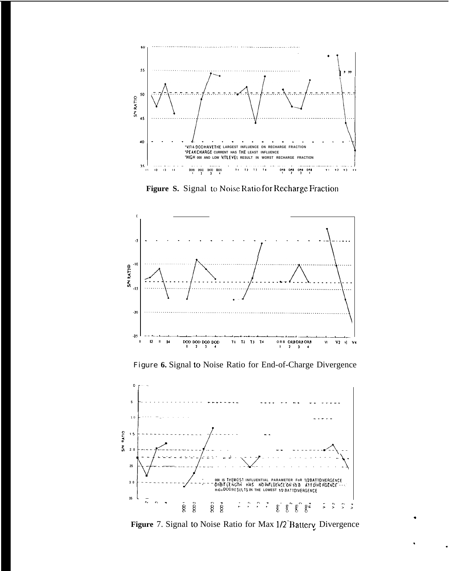

Figure S. Signal to Noise Ratio for Recharge Fraction



Figure 6. Signal to Noise Ratio for End-of-Charge Divergence



Figure 7. Signal to Noise Ratio for Max 1/2 Battery Divergence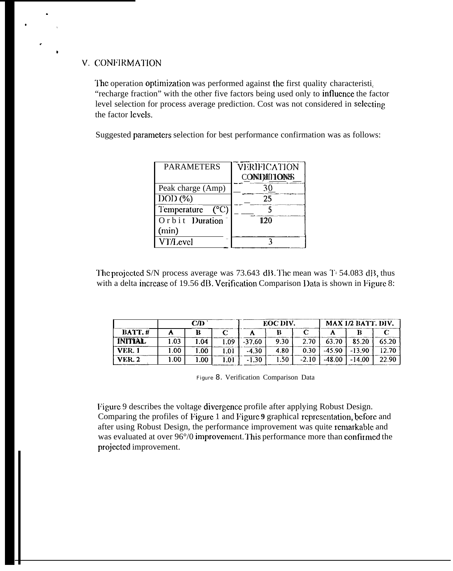### V. CONFIRMATION

The operation optimization was performed against the first quality characteristi. "recharge fraction" with the other five factors being used only to influence the factor level selection for process average prediction. Cost was not considered in selecting the factor levels.

Suggested parameters selection for best performance confirmation was as follows:

| <b>PARAMETERS</b>   | VERIFICATION<br>CONDITIONS |
|---------------------|----------------------------|
| Peak charge (Amp)   | 30                         |
| $DOD$ $(\%)$        | 25                         |
| (°C)<br>Temperature |                            |
| Orbit Duration      | 120                        |
| (min)               |                            |
| <b>VT/Level</b>     |                            |

The projected S/N process average was 73.643 dB. The mean was T= 54.083 dB, thus with a delta increase of 19.56 dB. Verification Comparison Data is shown in Figure 8:

|                |      | CD <sub>2</sub> |     |          | EOC DIV. |         | MAX 1/2 BATT. DIV. |          |       |  |  |
|----------------|------|-----------------|-----|----------|----------|---------|--------------------|----------|-------|--|--|
| <b>BATT.#</b>  |      |                 |     |          |          |         |                    |          |       |  |  |
| <b>INITIAL</b> | .03  | 1.04            | .09 | $-37.60$ | 9.30     | 2.70    | 63.70              | 85.20    | 65.20 |  |  |
| <b>VER.</b> 1  | .00. | 00.1            | .0' | $-4.30$  | 4.80     | 0.30    | $-45.90$           | $-13.90$ | 12.70 |  |  |
| <b>VER. 2</b>  | .00. | 1.00            | .01 | $-1.30$  | .50      | $-2.10$ | $-48.00$           | 14.00    | 22.90 |  |  |

Figure 8. Verification Comparison Data

Figure 9 describes the voltage divergence profile after applying Robust Design. Comparing the profiles of Figure 1 and Figure 9 graphical representation, before and after using Robust Design, the performance improvement was quite remarkable and was evaluated at over 96°/0 improvement. This performance more than confirmed the projected improvement.